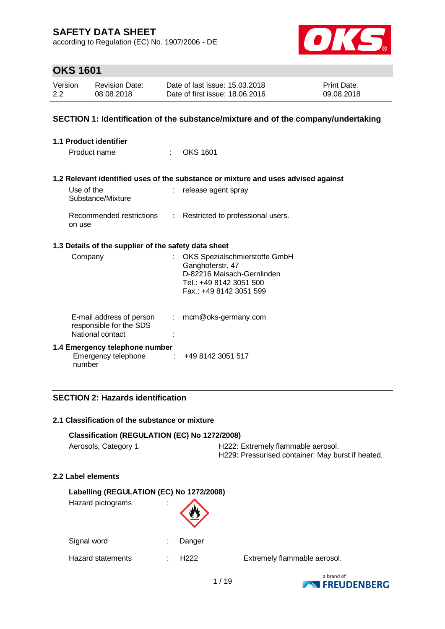according to Regulation (EC) No. 1907/2006 - DE



## **OKS 1601**

| Version | <b>Revision Date:</b> | Date of last issue: 15.03.2018  | <b>Print Date:</b> |
|---------|-----------------------|---------------------------------|--------------------|
| 2.2     | 08.08.2018            | Date of first issue: 18,06,2016 | 09.08.2018         |

### **SECTION 1: Identification of the substance/mixture and of the company/undertaking**

| <b>1.1 Product identifier</b>                                           |               |                                                                                                                                       |
|-------------------------------------------------------------------------|---------------|---------------------------------------------------------------------------------------------------------------------------------------|
| Product name                                                            | t.            | OKS 1601                                                                                                                              |
|                                                                         |               | 1.2 Relevant identified uses of the substance or mixture and uses advised against                                                     |
| Use of the<br>Substance/Mixture                                         |               | : release agent spray                                                                                                                 |
| on use                                                                  |               | Recommended restrictions : Restricted to professional users.                                                                          |
| 1.3 Details of the supplier of the safety data sheet                    |               |                                                                                                                                       |
| Company                                                                 |               | OKS Spezialschmierstoffe GmbH<br>Ganghoferstr. 47<br>D-82216 Maisach-Gernlinden<br>Tel.: +49 8142 3051 500<br>Fax.: +49 8142 3051 599 |
| E-mail address of person<br>responsible for the SDS<br>National contact | $\mathcal{L}$ | mcm@oks-germany.com                                                                                                                   |
| 1.4 Emergency telephone number<br>Emergency telephone<br>number         |               | $\div$ +49 8142 3051 517                                                                                                              |

## **SECTION 2: Hazards identification**

### **2.1 Classification of the substance or mixture**

### **Classification (REGULATION (EC) No 1272/2008)**

|  | Aerosols, Category 1 |
|--|----------------------|
|--|----------------------|

H222: Extremely flammable aerosol. H229: Pressurised container: May burst if heated.

### **2.2 Label elements**

| Labelling (REGULATION (EC) No 1272/2008) |  |                  |  |  |
|------------------------------------------|--|------------------|--|--|
| Hazard pictograms                        |  |                  |  |  |
| Signal word                              |  | Danger           |  |  |
| Hazard statements                        |  | H <sub>222</sub> |  |  |

Extremely flammable aerosol.

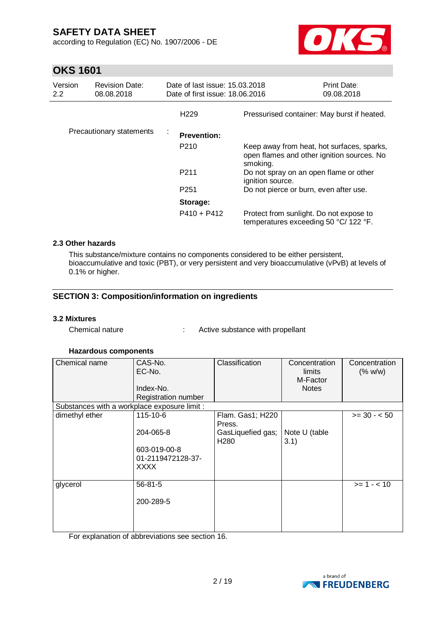according to Regulation (EC) No. 1907/2006 - DE



## **OKS 1601**

| Version<br>2.2 | <b>Revision Date:</b><br>08.08.2018 | Date of last issue: 15.03.2018<br>Date of first issue: 18.06.2016 |                                                                                                      | <b>Print Date:</b><br>09.08.2018 |
|----------------|-------------------------------------|-------------------------------------------------------------------|------------------------------------------------------------------------------------------------------|----------------------------------|
|                |                                     | H <sub>229</sub>                                                  | Pressurised container: May burst if heated.                                                          |                                  |
|                | Precautionary statements            | ÷<br><b>Prevention:</b>                                           |                                                                                                      |                                  |
|                |                                     | P <sub>210</sub>                                                  | Keep away from heat, hot surfaces, sparks,<br>open flames and other ignition sources. No<br>smoking. |                                  |
|                |                                     | P <sub>211</sub>                                                  | Do not spray on an open flame or other<br>ignition source.                                           |                                  |
|                |                                     | P <sub>251</sub>                                                  | Do not pierce or burn, even after use.                                                               |                                  |
|                |                                     | Storage:                                                          |                                                                                                      |                                  |
|                |                                     | $P410 + P412$                                                     | Protect from sunlight. Do not expose to<br>temperatures exceeding 50 °C/ 122 °F.                     |                                  |

### **2.3 Other hazards**

This substance/mixture contains no components considered to be either persistent, bioaccumulative and toxic (PBT), or very persistent and very bioaccumulative (vPvB) at levels of 0.1% or higher.

## **SECTION 3: Composition/information on ingredients**

### **3.2 Mixtures**

Chemical nature : Active substance with propellant

### **Hazardous components**

| Chemical name                                | CAS-No.<br>EC-No.<br>Index-No.<br>Registration number | Classification                        | Concentration<br>limits<br>M-Factor<br><b>Notes</b> | Concentration<br>(% w/w) |
|----------------------------------------------|-------------------------------------------------------|---------------------------------------|-----------------------------------------------------|--------------------------|
| Substances with a workplace exposure limit : |                                                       |                                       |                                                     |                          |
| dimethyl ether                               | 115-10-6                                              | Flam. Gas1; H220<br>Press.            |                                                     | $>= 30 - 50$             |
|                                              | 204-065-8                                             | GasLiquefied gas;<br>H <sub>280</sub> | Note U (table<br>3.1)                               |                          |
|                                              | 603-019-00-8<br>01-2119472128-37-<br>XXXX             |                                       |                                                     |                          |
| glycerol                                     | 56-81-5                                               |                                       |                                                     | $>= 1 - 10$              |
|                                              | 200-289-5                                             |                                       |                                                     |                          |
|                                              |                                                       |                                       |                                                     |                          |

For explanation of abbreviations see section 16.

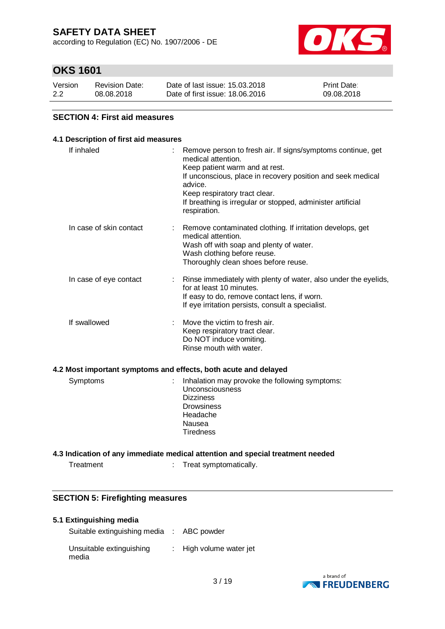according to Regulation (EC) No. 1907/2006 - DE



## **OKS 1601**

| Version | <b>Revision Date:</b> | Date of last issue: 15.03.2018  | <b>Print Date:</b> |
|---------|-----------------------|---------------------------------|--------------------|
| 2.2     | 08.08.2018            | Date of first issue: 18,06,2016 | 09.08.2018         |

### **SECTION 4: First aid measures**

### **4.1 Description of first aid measures**

| If inhaled              | Remove person to fresh air. If signs/symptoms continue, get<br>medical attention.<br>Keep patient warm and at rest.<br>If unconscious, place in recovery position and seek medical<br>advice.<br>Keep respiratory tract clear.<br>If breathing is irregular or stopped, administer artificial<br>respiration. |
|-------------------------|---------------------------------------------------------------------------------------------------------------------------------------------------------------------------------------------------------------------------------------------------------------------------------------------------------------|
| In case of skin contact | Remove contaminated clothing. If irritation develops, get<br>medical attention.<br>Wash off with soap and plenty of water.<br>Wash clothing before reuse.<br>Thoroughly clean shoes before reuse.                                                                                                             |
| In case of eye contact  | Rinse immediately with plenty of water, also under the eyelids,<br>÷.<br>for at least 10 minutes.<br>If easy to do, remove contact lens, if worn.<br>If eye irritation persists, consult a specialist.                                                                                                        |
| If swallowed            | Move the victim to fresh air.<br>Keep respiratory tract clear.<br>Do NOT induce vomiting.<br>Rinse mouth with water.                                                                                                                                                                                          |
|                         | 4.2 Most important symptoms and effects, both acute and delayed                                                                                                                                                                                                                                               |
| Symptoms                | Inhalation may provoke the following symptoms:<br>Unconsciousness<br><b>Dizziness</b><br><b>Drowsiness</b><br>Headache<br>Nausea<br><b>Tiredness</b>                                                                                                                                                          |
|                         | 4.3 Indication of any immediate medical attention and special treatment needed                                                                                                                                                                                                                                |

Treatment : Treat symptomatically.

### **SECTION 5: Firefighting measures**

#### **5.1 Extinguishing media**

| Suitable extinguishing media : ABC powder |                                    |
|-------------------------------------------|------------------------------------|
| Unsuitable extinguishing<br>media         | $\therefore$ High volume water jet |

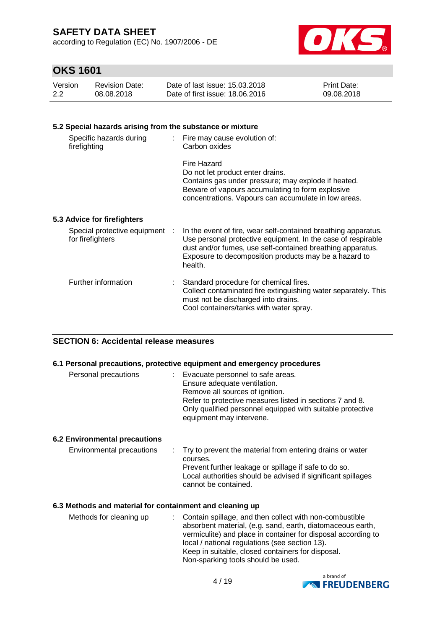according to Regulation (EC) No. 1907/2006 - DE



## **OKS 1601**

| Version | <b>Revision Date:</b> | Date of last issue: 15.03.2018  | <b>Print Date:</b> |
|---------|-----------------------|---------------------------------|--------------------|
| 2.2     | 08.08.2018            | Date of first issue: 18,06,2016 | 09.08.2018         |

## **5.2 Special hazards arising from the substance or mixture**

| Specific hazards during<br>firefighting            | : Fire may cause evolution of:<br>Carbon oxides                                                                                                                                                                                                                  |
|----------------------------------------------------|------------------------------------------------------------------------------------------------------------------------------------------------------------------------------------------------------------------------------------------------------------------|
|                                                    | Fire Hazard<br>Do not let product enter drains.<br>Contains gas under pressure; may explode if heated.<br>Beware of vapours accumulating to form explosive<br>concentrations. Vapours can accumulate in low areas.                                               |
| 5.3 Advice for firefighters                        |                                                                                                                                                                                                                                                                  |
| Special protective equipment :<br>for firefighters | In the event of fire, wear self-contained breathing apparatus.<br>Use personal protective equipment. In the case of respirable<br>dust and/or fumes, use self-contained breathing apparatus.<br>Exposure to decomposition products may be a hazard to<br>health. |
| Further information                                | Standard procedure for chemical fires.<br>Collect contaminated fire extinguishing water separately. This<br>must not be discharged into drains.                                                                                                                  |

Cool containers/tanks with water spray.

### **SECTION 6: Accidental release measures**

### **6.1 Personal precautions, protective equipment and emergency procedures**

| Personal precautions | : Evacuate personnel to safe areas.<br>Ensure adequate ventilation.<br>Remove all sources of ignition.<br>Refer to protective measures listed in sections 7 and 8.<br>Only qualified personnel equipped with suitable protective<br>equipment may intervene. |
|----------------------|--------------------------------------------------------------------------------------------------------------------------------------------------------------------------------------------------------------------------------------------------------------|
|----------------------|--------------------------------------------------------------------------------------------------------------------------------------------------------------------------------------------------------------------------------------------------------------|

### **6.2 Environmental precautions**

| Environmental precautions<br>: Try to prevent the material from entering drains or water |                                                              |
|------------------------------------------------------------------------------------------|--------------------------------------------------------------|
| courses.                                                                                 |                                                              |
|                                                                                          | Prevent further leakage or spillage if safe to do so.        |
|                                                                                          | Local authorities should be advised if significant spillages |
|                                                                                          | cannot be contained.                                         |

### **6.3 Methods and material for containment and cleaning up**

| Methods for cleaning up | : Contain spillage, and then collect with non-combustible<br>absorbent material, (e.g. sand, earth, diatomaceous earth,<br>vermiculite) and place in container for disposal according to<br>local / national regulations (see section 13).<br>Keep in suitable, closed containers for disposal. |
|-------------------------|-------------------------------------------------------------------------------------------------------------------------------------------------------------------------------------------------------------------------------------------------------------------------------------------------|
|                         | Non-sparking tools should be used.                                                                                                                                                                                                                                                              |
|                         |                                                                                                                                                                                                                                                                                                 |

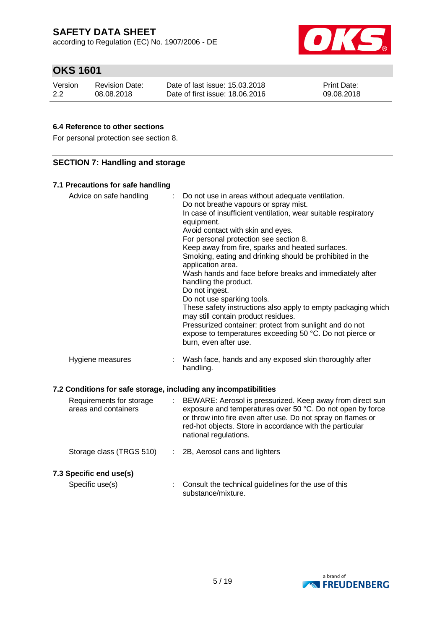according to Regulation (EC) No. 1907/2006 - DE



## **OKS 1601**

| Version | <b>Revision Date:</b> | Date of last issue: 15.03.2018  | <b>Print Date:</b> |
|---------|-----------------------|---------------------------------|--------------------|
| 2.2     | 08.08.2018            | Date of first issue: 18,06,2016 | 09.08.2018         |

## **6.4 Reference to other sections**

For personal protection see section 8.

## **SECTION 7: Handling and storage**

### **7.1 Precautions for safe handling**

| Advice on safe handling                                          | : Do not use in areas without adequate ventilation.<br>Do not breathe vapours or spray mist.<br>In case of insufficient ventilation, wear suitable respiratory<br>equipment.<br>Avoid contact with skin and eyes.<br>For personal protection see section 8.<br>Keep away from fire, sparks and heated surfaces.<br>Smoking, eating and drinking should be prohibited in the<br>application area.<br>Wash hands and face before breaks and immediately after<br>handling the product.<br>Do not ingest.<br>Do not use sparking tools.<br>These safety instructions also apply to empty packaging which<br>may still contain product residues. |
|------------------------------------------------------------------|----------------------------------------------------------------------------------------------------------------------------------------------------------------------------------------------------------------------------------------------------------------------------------------------------------------------------------------------------------------------------------------------------------------------------------------------------------------------------------------------------------------------------------------------------------------------------------------------------------------------------------------------|
|                                                                  | Pressurized container: protect from sunlight and do not<br>expose to temperatures exceeding 50 °C. Do not pierce or<br>burn, even after use.                                                                                                                                                                                                                                                                                                                                                                                                                                                                                                 |
| Hygiene measures                                                 | Wash face, hands and any exposed skin thoroughly after<br>handling.                                                                                                                                                                                                                                                                                                                                                                                                                                                                                                                                                                          |
| 7.2 Conditions for safe storage, including any incompatibilities |                                                                                                                                                                                                                                                                                                                                                                                                                                                                                                                                                                                                                                              |

| Requirements for storage<br>areas and containers | ÷. | BEWARE: Aerosol is pressurized. Keep away from direct sun<br>exposure and temperatures over 50 °C. Do not open by force<br>or throw into fire even after use. Do not spray on flames or<br>red-hot objects. Store in accordance with the particular<br>national regulations. |
|--------------------------------------------------|----|------------------------------------------------------------------------------------------------------------------------------------------------------------------------------------------------------------------------------------------------------------------------------|
| Storage class (TRGS 510)                         |    | 2B, Aerosol cans and lighters                                                                                                                                                                                                                                                |
| 7.3 Specific end use(s)<br>Specific use(s)       |    | Consult the technical guidelines for the use of this<br>substance/mixture.                                                                                                                                                                                                   |

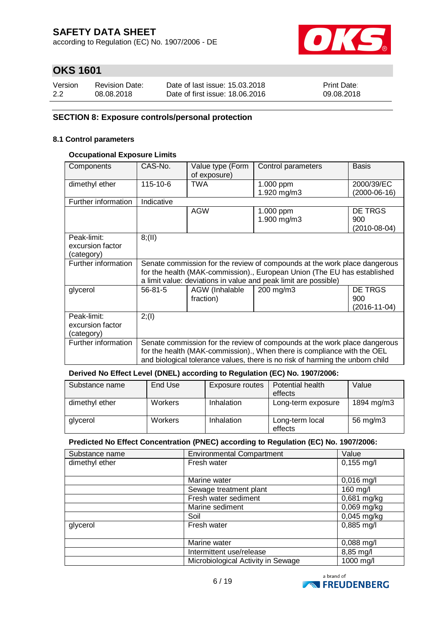according to Regulation (EC) No. 1907/2006 - DE



## **OKS 1601**

| Version | <b>Revision Date:</b> | Date of last issue: 15.03.2018  | <b>Print Date:</b> |
|---------|-----------------------|---------------------------------|--------------------|
| 2.2     | 08.08.2018            | Date of first issue: 18,06,2016 | 09.08.2018         |

### **SECTION 8: Exposure controls/personal protection**

### **8.1 Control parameters**

### **Occupational Exposure Limits**

| Components                                    | CAS-No.    | Value type (Form<br>of exposure) | Control parameters                                                                                                                                                                                                                    | <b>Basis</b>                                |
|-----------------------------------------------|------------|----------------------------------|---------------------------------------------------------------------------------------------------------------------------------------------------------------------------------------------------------------------------------------|---------------------------------------------|
| dimethyl ether                                | 115-10-6   | TWA                              | 1.000 ppm<br>1.920 mg/m3                                                                                                                                                                                                              | 2000/39/EC<br>$(2000-06-16)$                |
| Further information                           | Indicative |                                  |                                                                                                                                                                                                                                       |                                             |
|                                               |            | AGW                              | 1.000 ppm<br>1.900 mg/m3                                                                                                                                                                                                              | <b>DE TRGS</b><br>900<br>$(2010 - 08 - 04)$ |
| Peak-limit:<br>excursion factor<br>(category) | 8(11)      |                                  |                                                                                                                                                                                                                                       |                                             |
| Further information                           |            |                                  | Senate commission for the review of compounds at the work place dangerous<br>for the health (MAK-commission)., European Union (The EU has established<br>a limit value: deviations in value and peak limit are possible)              |                                             |
| glycerol                                      | 56-81-5    | AGW (Inhalable<br>fraction)      | 200 mg/m3                                                                                                                                                                                                                             | <b>DE TRGS</b><br>900<br>$(2016-11-04)$     |
| Peak-limit:<br>excursion factor<br>(category) | 2; (1)     |                                  |                                                                                                                                                                                                                                       |                                             |
| Further information                           |            |                                  | Senate commission for the review of compounds at the work place dangerous<br>for the health (MAK-commission)., When there is compliance with the OEL<br>and biological tolerance values, there is no risk of harming the unborn child |                                             |

### **Derived No Effect Level (DNEL) according to Regulation (EC) No. 1907/2006:**

| Substance name | End Use        | Exposure routes | Potential health<br>effects | Value      |
|----------------|----------------|-----------------|-----------------------------|------------|
| dimethyl ether | <b>Workers</b> | Inhalation      | Long-term exposure          | 1894 mg/m3 |
| glycerol       | <b>Workers</b> | Inhalation      | Long-term local<br>effects  | 56 mg/m3   |

#### **Predicted No Effect Concentration (PNEC) according to Regulation (EC) No. 1907/2006:**

| Substance name | <b>Environmental Compartment</b>   | Value         |
|----------------|------------------------------------|---------------|
| dimethyl ether | Fresh water                        | $0,155$ mg/l  |
|                |                                    |               |
|                | Marine water                       | $0,016$ mg/l  |
|                | Sewage treatment plant             | 160 mg/l      |
|                | Fresh water sediment               | 0,681 mg/kg   |
|                | Marine sediment                    | $0,069$ mg/kg |
|                | Soil                               | $0,045$ mg/kg |
| glycerol       | Fresh water                        | $0,885$ mg/l  |
|                |                                    |               |
|                | Marine water                       | $0,088$ mg/l  |
|                | Intermittent use/release           | 8,85 mg/l     |
|                | Microbiological Activity in Sewage | 1000 mg/l     |

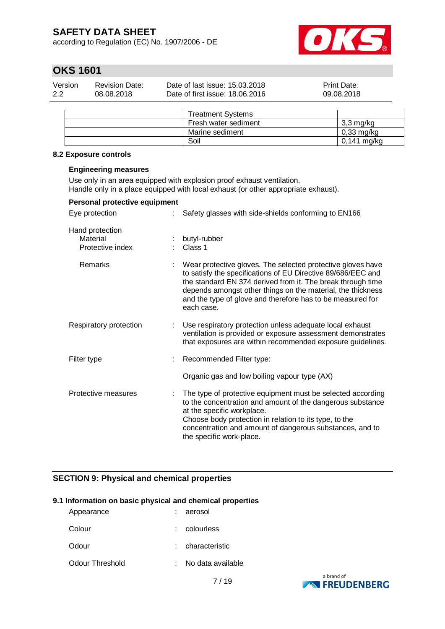according to Regulation (EC) No. 1907/2006 - DE



## **OKS 1601**

| Version | Revision Date: | Date of last issue: 15.03.2018  | <b>Print Date:</b> |
|---------|----------------|---------------------------------|--------------------|
| 2.2     | 08.08.2018     | Date of first issue: 18,06,2016 | 09.08.2018         |

|  | <b>Treatment Systems</b> |                      |
|--|--------------------------|----------------------|
|  | Fresh water sediment     | $3,3$ mg/kg          |
|  | Marine sediment          | $0,33 \text{ mg/kg}$ |
|  | Soil                     | 0,141 mg/kg          |

#### **8.2 Exposure controls**

#### **Engineering measures**

Use only in an area equipped with explosion proof exhaust ventilation. Handle only in a place equipped with local exhaust (or other appropriate exhaust).

| Personal protective equipment                   |                                                                                                                                                                                                                                                                                                                                       |
|-------------------------------------------------|---------------------------------------------------------------------------------------------------------------------------------------------------------------------------------------------------------------------------------------------------------------------------------------------------------------------------------------|
| Eye protection                                  | Safety glasses with side-shields conforming to EN166                                                                                                                                                                                                                                                                                  |
| Hand protection<br>Material<br>Protective index | butyl-rubber<br>Class 1                                                                                                                                                                                                                                                                                                               |
| Remarks                                         | Wear protective gloves. The selected protective gloves have<br>to satisfy the specifications of EU Directive 89/686/EEC and<br>the standard EN 374 derived from it. The break through time<br>depends amongst other things on the material, the thickness<br>and the type of glove and therefore has to be measured for<br>each case. |
| Respiratory protection                          | Use respiratory protection unless adequate local exhaust<br>ventilation is provided or exposure assessment demonstrates<br>that exposures are within recommended exposure guidelines.                                                                                                                                                 |
| Filter type                                     | Recommended Filter type:                                                                                                                                                                                                                                                                                                              |
|                                                 | Organic gas and low boiling vapour type (AX)                                                                                                                                                                                                                                                                                          |
| Protective measures                             | The type of protective equipment must be selected according<br>to the concentration and amount of the dangerous substance<br>at the specific workplace.<br>Choose body protection in relation to its type, to the<br>concentration and amount of dangerous substances, and to<br>the specific work-place.                             |

## **SECTION 9: Physical and chemical properties**

### **9.1 Information on basic physical and chemical properties**

| Appearance      | aerosol           |
|-----------------|-------------------|
| Colour          | : colourless      |
| Odour           | characteristic    |
| Odour Threshold | No data available |

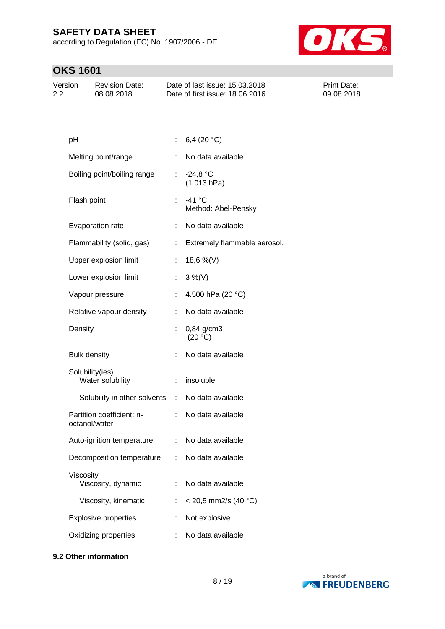according to Regulation (EC) No. 1907/2006 - DE



# **OKS 1601**

| Version | <b>Revision Date:</b> | Date of last issue: 15.03.2018  | <b>Print Date:</b> |
|---------|-----------------------|---------------------------------|--------------------|
| 2.2     | 08.08.2018            | Date of first issue: 18,06,2016 | 09.08.2018         |

| рH                                         |                              | 6,4 $(20 °C)$                   |
|--------------------------------------------|------------------------------|---------------------------------|
| Melting point/range                        |                              | No data available               |
| Boiling point/boiling range                |                              | $: -24.8 °C$<br>(1.013 hPa)     |
| Flash point                                | t.                           | $-41$ °C<br>Method: Abel-Pensky |
| Evaporation rate                           | ÷.                           | No data available               |
| Flammability (solid, gas)                  |                              | Extremely flammable aerosol.    |
| Upper explosion limit                      |                              | 18,6 %(V)                       |
| Lower explosion limit                      | t.                           | $3\%$ (V)                       |
| Vapour pressure                            |                              | 4.500 hPa (20 °C)               |
| Relative vapour density                    |                              | No data available               |
| Density                                    |                              | 0,84 g/cm3<br>(20 °C)           |
| <b>Bulk density</b>                        |                              | No data available               |
| Solubility(ies)<br>Water solubility        | t.                           | insoluble                       |
| Solubility in other solvents               | $\mathcal{L}_{\mathrm{max}}$ | No data available               |
| Partition coefficient: n-<br>octanol/water | ÷.                           | No data available               |
| Auto-ignition temperature                  | t.                           | No data available               |
| Decomposition temperature                  | ÷.                           | No data available               |
| Viscosity<br>Viscosity, dynamic            |                              | No data available               |
| Viscosity, kinematic                       |                              | $<$ 20,5 mm2/s (40 °C)          |
| <b>Explosive properties</b>                |                              | Not explosive                   |
| Oxidizing properties                       |                              | No data available               |
|                                            |                              |                                 |

### **9.2 Other information**

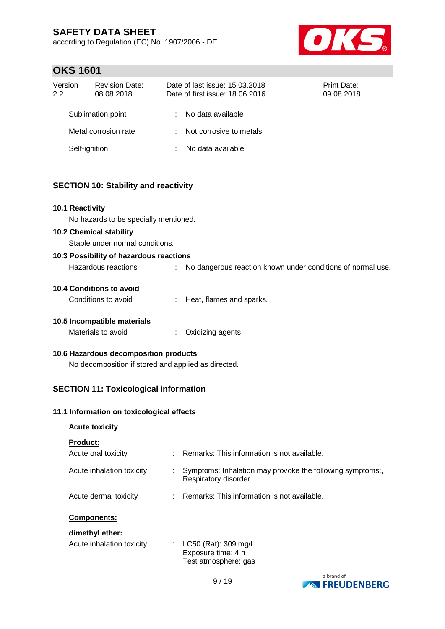according to Regulation (EC) No. 1907/2006 - DE



## **OKS 1601**

| Version<br>2.2 | <b>Revision Date:</b><br>08.08.2018 |    | Date of last issue: 15.03.2018<br>Date of first issue: 18.06.2016 | Print Date:<br>09.08.2018 |
|----------------|-------------------------------------|----|-------------------------------------------------------------------|---------------------------|
|                | Sublimation point                   |    | No data available                                                 |                           |
|                | Metal corrosion rate                | t. | Not corrosive to metals                                           |                           |
| Self-ignition  |                                     |    | No data available                                                 |                           |

## **SECTION 10: Stability and reactivity**

## **10.1 Reactivity**

No hazards to be specially mentioned.

#### **10.2 Chemical stability**

Stable under normal conditions.

### **10.3 Possibility of hazardous reactions** Hazardous reactions : No dangerous reaction known under conditions of normal use.

| 10.4 Conditions to avoid |  |
|--------------------------|--|

Conditions to avoid : Heat, flames and sparks.

## **10.5 Incompatible materials**

| Materials to avoid |  |  | Oxidizing agents |
|--------------------|--|--|------------------|
|--------------------|--|--|------------------|

### **10.6 Hazardous decomposition products**

No decomposition if stored and applied as directed.

## **SECTION 11: Toxicological information**

### **11.1 Information on toxicological effects**

## **Acute toxicity**

### **Product:**

| Acute oral toxicity       | : Remarks: This information is not available.                                     |
|---------------------------|-----------------------------------------------------------------------------------|
| Acute inhalation toxicity | Symptoms: Inhalation may provoke the following symptoms:,<br>Respiratory disorder |
| Acute dermal toxicity     | : Remarks: This information is not available.                                     |

### **Components:**

### **dimethyl ether:**

| Acute inhalation toxicity | : $LC50$ (Rat): 309 mg/l |
|---------------------------|--------------------------|
|                           | Exposure time: 4 h       |
|                           | Test atmosphere: gas     |

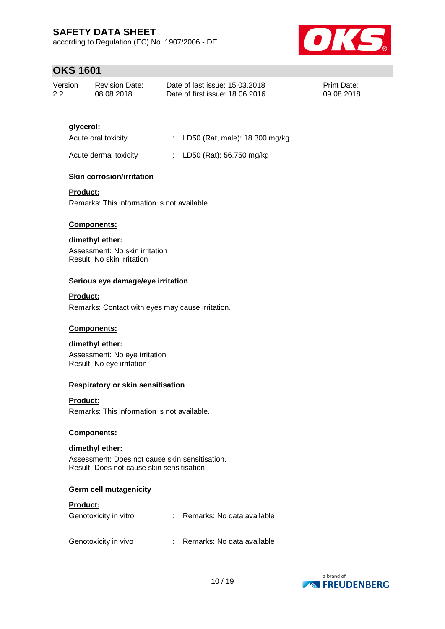according to Regulation (EC) No. 1907/2006 - DE



## **OKS 1601**

| Version | <b>Revision Date:</b> | Date of last issue: 15.03.2018  | <b>Print Date:</b> |
|---------|-----------------------|---------------------------------|--------------------|
| 2.2     | 08.08.2018            | Date of first issue: 18,06,2016 | 09.08.2018         |

## **glycerol:**

| Acute oral toxicity | : LD50 (Rat, male): 18.300 mg/kg |
|---------------------|----------------------------------|
|---------------------|----------------------------------|

Acute dermal toxicity : LD50 (Rat): 56.750 mg/kg

## **Skin corrosion/irritation**

### **Product:**

Remarks: This information is not available.

### **Components:**

### **dimethyl ether:**

Assessment: No skin irritation Result: No skin irritation

### **Serious eye damage/eye irritation**

### **Product:**

Remarks: Contact with eyes may cause irritation.

### **Components:**

### **dimethyl ether:**

Assessment: No eye irritation Result: No eye irritation

### **Respiratory or skin sensitisation**

### **Product:**

Remarks: This information is not available.

### **Components:**

### **dimethyl ether:**

Assessment: Does not cause skin sensitisation. Result: Does not cause skin sensitisation.

## **Germ cell mutagenicity**

### **Product:**

| Genotoxicity in vitro | Remarks: No data available |
|-----------------------|----------------------------|
| Genotoxicity in vivo  | Remarks: No data available |

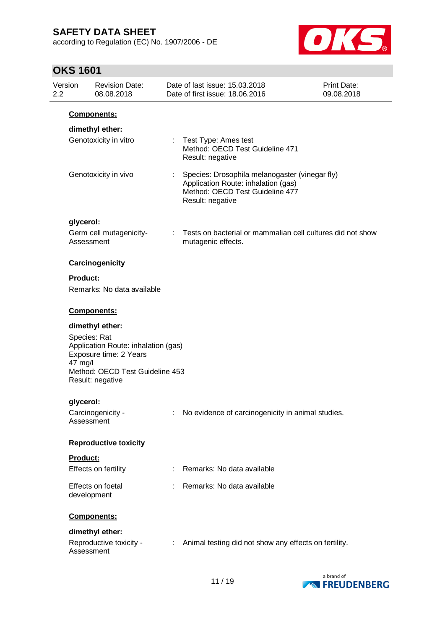according to Regulation (EC) No. 1907/2006 - DE



## **OKS 1601**

| Version<br>$2.2\phantom{0}$ |                 | <b>Revision Date:</b><br>08.08.2018                                                                                                                     |    | Date of last issue: 15.03.2018<br>Date of first issue: 18.06.2016                                                                            | <b>Print Date:</b><br>09.08.2018 |
|-----------------------------|-----------------|---------------------------------------------------------------------------------------------------------------------------------------------------------|----|----------------------------------------------------------------------------------------------------------------------------------------------|----------------------------------|
|                             |                 | <b>Components:</b>                                                                                                                                      |    |                                                                                                                                              |                                  |
|                             |                 | dimethyl ether:                                                                                                                                         |    |                                                                                                                                              |                                  |
|                             |                 | Genotoxicity in vitro                                                                                                                                   |    | : Test Type: Ames test<br>Method: OECD Test Guideline 471<br>Result: negative                                                                |                                  |
|                             |                 | Genotoxicity in vivo                                                                                                                                    |    | Species: Drosophila melanogaster (vinegar fly)<br>Application Route: inhalation (gas)<br>Method: OECD Test Guideline 477<br>Result: negative |                                  |
|                             | glycerol:       |                                                                                                                                                         |    |                                                                                                                                              |                                  |
|                             |                 | Germ cell mutagenicity-<br>Assessment                                                                                                                   | ÷. | Tests on bacterial or mammalian cell cultures did not show<br>mutagenic effects.                                                             |                                  |
|                             |                 | Carcinogenicity                                                                                                                                         |    |                                                                                                                                              |                                  |
|                             | <b>Product:</b> |                                                                                                                                                         |    |                                                                                                                                              |                                  |
|                             |                 | Remarks: No data available                                                                                                                              |    |                                                                                                                                              |                                  |
|                             |                 | Components:                                                                                                                                             |    |                                                                                                                                              |                                  |
|                             | 47 mg/l         | dimethyl ether:<br>Species: Rat<br>Application Route: inhalation (gas)<br>Exposure time: 2 Years<br>Method: OECD Test Guideline 453<br>Result: negative |    |                                                                                                                                              |                                  |
|                             | glycerol:       |                                                                                                                                                         |    |                                                                                                                                              |                                  |
|                             |                 | Carcinogenicity -<br>Assessment                                                                                                                         |    | No evidence of carcinogenicity in animal studies.                                                                                            |                                  |
|                             |                 | <b>Reproductive toxicity</b>                                                                                                                            |    |                                                                                                                                              |                                  |
|                             | Product:        |                                                                                                                                                         |    |                                                                                                                                              |                                  |
|                             |                 | Effects on fertility                                                                                                                                    |    | Remarks: No data available                                                                                                                   |                                  |
|                             |                 | Effects on foetal<br>development                                                                                                                        |    | Remarks: No data available                                                                                                                   |                                  |
|                             |                 | Components:                                                                                                                                             |    |                                                                                                                                              |                                  |
|                             |                 | dimethyl ether:                                                                                                                                         |    |                                                                                                                                              |                                  |
|                             |                 | Reproductive toxicity -<br>Assessment                                                                                                                   | ÷. | Animal testing did not show any effects on fertility.                                                                                        |                                  |

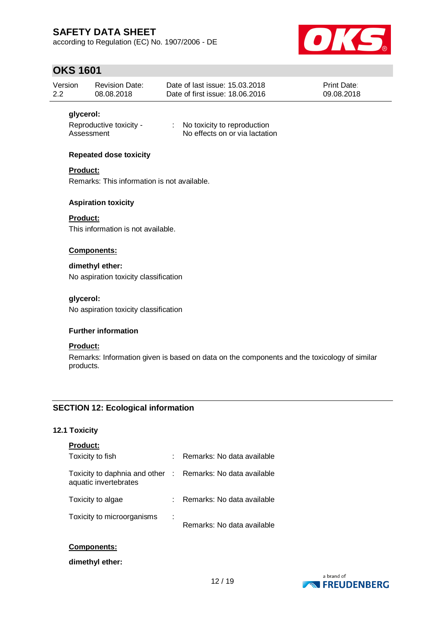according to Regulation (EC) No. 1907/2006 - DE



## **OKS 1601**

| Version | <b>Revision Date:</b> | Date of last issue: 15.03.2018  | <b>Print Date:</b> |
|---------|-----------------------|---------------------------------|--------------------|
| 2.2     | 08.08.2018            | Date of first issue: 18,06,2016 | 09.08.2018         |

### **glycerol:**

Reproductive toxicity - : No toxicity to reproduction Assessment No effects on or via lactation

### **Repeated dose toxicity**

### **Product:**

Remarks: This information is not available.

### **Aspiration toxicity**

### **Product:**

This information is not available.

### **Components:**

### **dimethyl ether:**

No aspiration toxicity classification

### **glycerol:**

No aspiration toxicity classification

### **Further information**

### **Product:**

Remarks: Information given is based on data on the components and the toxicology of similar products.

## **SECTION 12: Ecological information**

### **12.1 Toxicity**

| <b>Product:</b>                                                                     |                            |
|-------------------------------------------------------------------------------------|----------------------------|
| Toxicity to fish                                                                    | Remarks: No data available |
| Toxicity to daphnia and other : Remarks: No data available<br>aquatic invertebrates |                            |
| Toxicity to algae                                                                   | Remarks: No data available |
| Toxicity to microorganisms                                                          | Remarks: No data available |

### **Components:**

**dimethyl ether:**

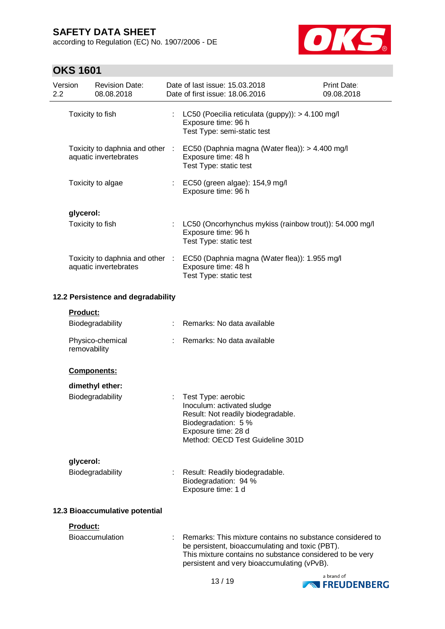according to Regulation (EC) No. 1907/2006 - DE



## **OKS 1601**

| Version<br>2.2 |                 | <b>Revision Date:</b><br>08.08.2018                      | Date of last issue: 15.03.2018<br>Date of first issue: 18.06.2016                                                                                                                                                       | <b>Print Date:</b><br>09.08.2018 |
|----------------|-----------------|----------------------------------------------------------|-------------------------------------------------------------------------------------------------------------------------------------------------------------------------------------------------------------------------|----------------------------------|
|                |                 | Toxicity to fish                                         | LC50 (Poecilia reticulata (guppy)): > 4.100 mg/l<br>Exposure time: 96 h<br>Test Type: semi-static test                                                                                                                  |                                  |
|                |                 | Toxicity to daphnia and other :<br>aquatic invertebrates | EC50 (Daphnia magna (Water flea)): > 4.400 mg/l<br>Exposure time: 48 h<br>Test Type: static test                                                                                                                        |                                  |
|                |                 | Toxicity to algae                                        | EC50 (green algae): 154,9 mg/l<br>Exposure time: 96 h                                                                                                                                                                   |                                  |
|                | glycerol:       |                                                          |                                                                                                                                                                                                                         |                                  |
|                |                 | Toxicity to fish                                         | LC50 (Oncorhynchus mykiss (rainbow trout)): 54.000 mg/l<br>Exposure time: 96 h<br>Test Type: static test                                                                                                                |                                  |
|                |                 | Toxicity to daphnia and other :<br>aquatic invertebrates | EC50 (Daphnia magna (Water flea)): 1.955 mg/l<br>Exposure time: 48 h<br>Test Type: static test                                                                                                                          |                                  |
|                |                 | 12.2 Persistence and degradability                       |                                                                                                                                                                                                                         |                                  |
|                | <b>Product:</b> |                                                          |                                                                                                                                                                                                                         |                                  |
|                |                 | Biodegradability                                         | Remarks: No data available                                                                                                                                                                                              |                                  |
|                | removability    | Physico-chemical                                         | Remarks: No data available                                                                                                                                                                                              |                                  |
|                |                 | Components:                                              |                                                                                                                                                                                                                         |                                  |
|                |                 | dimethyl ether:                                          |                                                                                                                                                                                                                         |                                  |
|                |                 | Biodegradability                                         | Test Type: aerobic<br>Inoculum: activated sludge<br>Result: Not readily biodegradable.<br>Biodegradation: 5 %<br>Exposure time: 28 d<br>Method: OECD Test Guideline 301D                                                |                                  |
|                | glycerol:       |                                                          |                                                                                                                                                                                                                         |                                  |
|                |                 | Biodegradability                                         | Result: Readily biodegradable.<br>Biodegradation: 94 %<br>Exposure time: 1 d                                                                                                                                            |                                  |
|                |                 | 12.3 Bioaccumulative potential                           |                                                                                                                                                                                                                         |                                  |
|                | <b>Product:</b> |                                                          |                                                                                                                                                                                                                         |                                  |
|                |                 | <b>Bioaccumulation</b>                                   | Remarks: This mixture contains no substance considered to<br>be persistent, bioaccumulating and toxic (PBT).<br>This mixture contains no substance considered to be very<br>persistent and very bioaccumulating (vPvB). |                                  |

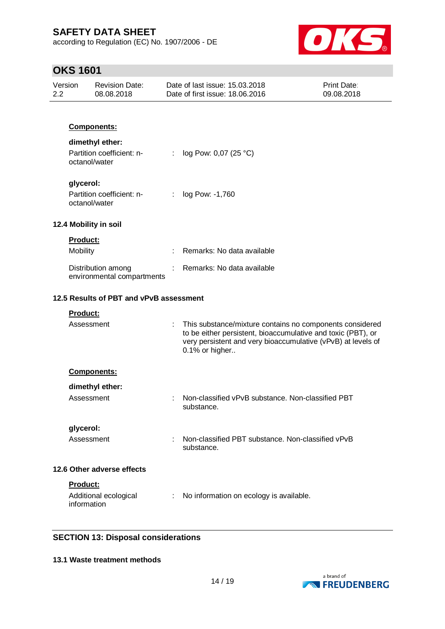according to Regulation (EC) No. 1907/2006 - DE



## **OKS 1601**

| Version<br>2.2             |                 | <b>Revision Date:</b><br>08.08.2018              |   | Date of last issue: 15.03.2018<br>Date of first issue: 18.06.2016                                                                                                                                          | <b>Print Date:</b><br>09.08.2018 |
|----------------------------|-----------------|--------------------------------------------------|---|------------------------------------------------------------------------------------------------------------------------------------------------------------------------------------------------------------|----------------------------------|
|                            |                 | Components:                                      |   |                                                                                                                                                                                                            |                                  |
|                            |                 |                                                  |   |                                                                                                                                                                                                            |                                  |
|                            | octanol/water   | dimethyl ether:<br>Partition coefficient: n-     | ÷ | log Pow: 0,07 (25 °C)                                                                                                                                                                                      |                                  |
|                            | glycerol:       |                                                  |   |                                                                                                                                                                                                            |                                  |
|                            | octanol/water   | Partition coefficient: n-                        | ÷ | log Pow: -1,760                                                                                                                                                                                            |                                  |
|                            |                 | 12.4 Mobility in soil                            |   |                                                                                                                                                                                                            |                                  |
|                            | Product:        |                                                  |   |                                                                                                                                                                                                            |                                  |
|                            | Mobility        |                                                  |   | Remarks: No data available                                                                                                                                                                                 |                                  |
|                            |                 | Distribution among<br>environmental compartments |   | Remarks: No data available                                                                                                                                                                                 |                                  |
|                            |                 | 12.5 Results of PBT and vPvB assessment          |   |                                                                                                                                                                                                            |                                  |
|                            | <b>Product:</b> |                                                  |   |                                                                                                                                                                                                            |                                  |
|                            | Assessment      |                                                  | ÷ | This substance/mixture contains no components considered<br>to be either persistent, bioaccumulative and toxic (PBT), or<br>very persistent and very bioaccumulative (vPvB) at levels of<br>0.1% or higher |                                  |
|                            |                 | Components:                                      |   |                                                                                                                                                                                                            |                                  |
|                            |                 | dimethyl ether:                                  |   |                                                                                                                                                                                                            |                                  |
|                            | Assessment      |                                                  |   | Non-classified vPvB substance. Non-classified PBT<br>substance.                                                                                                                                            |                                  |
|                            | glycerol:       |                                                  |   |                                                                                                                                                                                                            |                                  |
|                            | Assessment      |                                                  | ÷ | Non-classified PBT substance, Non-classified vPvB<br>substance.                                                                                                                                            |                                  |
| 12.6 Other adverse effects |                 |                                                  |   |                                                                                                                                                                                                            |                                  |
|                            | Product:        |                                                  |   |                                                                                                                                                                                                            |                                  |
|                            | information     | Additional ecological                            | ÷ | No information on ecology is available.                                                                                                                                                                    |                                  |

## **SECTION 13: Disposal considerations**

### **13.1 Waste treatment methods**

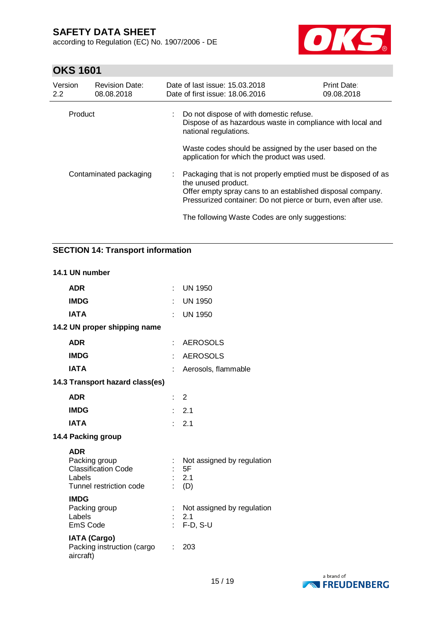according to Regulation (EC) No. 1907/2006 - DE



## **OKS 1601**

| Version<br>$2.2^{\circ}$ | <b>Revision Date:</b><br>08.08.2018 | Date of last issue: 15.03.2018<br>Date of first issue: 18.06.2016                                                                                                                                                     | <b>Print Date:</b><br>09.08.2018 |  |  |
|--------------------------|-------------------------------------|-----------------------------------------------------------------------------------------------------------------------------------------------------------------------------------------------------------------------|----------------------------------|--|--|
| Product                  |                                     | : Do not dispose of with domestic refuse.<br>Dispose of as hazardous waste in compliance with local and<br>national regulations.                                                                                      |                                  |  |  |
|                          |                                     | Waste codes should be assigned by the user based on the<br>application for which the product was used.                                                                                                                |                                  |  |  |
| Contaminated packaging   |                                     | : Packaging that is not properly emptied must be disposed of as<br>the unused product.<br>Offer empty spray cans to an established disposal company.<br>Pressurized container: Do not pierce or burn, even after use. |                                  |  |  |
|                          |                                     | The following Waste Codes are only suggestions:                                                                                                                                                                       |                                  |  |  |

## **SECTION 14: Transport information**

#### **14.1 UN number**

| <b>ADR</b>                                                                                     | ÷.   | <b>UN 1950</b>                                          |
|------------------------------------------------------------------------------------------------|------|---------------------------------------------------------|
| <b>IMDG</b>                                                                                    |      | <b>UN 1950</b>                                          |
| <b>IATA</b>                                                                                    | t in | <b>UN 1950</b>                                          |
| 14.2 UN proper shipping name                                                                   |      |                                                         |
| <b>ADR</b>                                                                                     | ÷    | <b>AEROSOLS</b>                                         |
| <b>IMDG</b>                                                                                    | ŧ.   | <b>AEROSOLS</b>                                         |
| <b>IATA</b>                                                                                    |      | Aerosols, flammable                                     |
| 14.3 Transport hazard class(es)                                                                |      |                                                         |
| <b>ADR</b>                                                                                     | t.   | $\overline{2}$                                          |
| <b>IMDG</b>                                                                                    |      | 2.1                                                     |
| <b>IATA</b>                                                                                    | t.   | 2.1                                                     |
| 14.4 Packing group                                                                             |      |                                                         |
| <b>ADR</b><br>Packing group<br><b>Classification Code</b><br>Labels<br>Tunnel restriction code |      | Not assigned by regulation<br>5F<br>2.1<br>$\colon$ (D) |
| <b>IMDG</b><br>Packing group<br>Labels<br><b>EmS Code</b>                                      |      | Not assigned by regulation<br>2.1<br>$F-D, S-U$         |
| <b>IATA (Cargo)</b><br>Packing instruction (cargo<br>aircraft)                                 | t.   | 203                                                     |
|                                                                                                |      |                                                         |

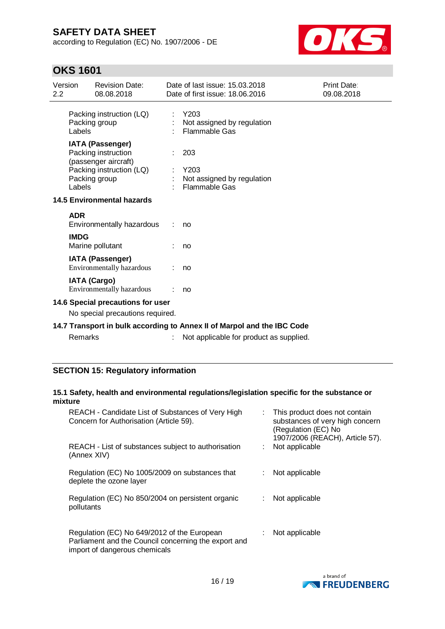according to Regulation (EC) No. 1907/2006 - DE



## **OKS 1601**

| 2.2                                                                   | Version     | <b>Revision Date:</b><br>08.08.2018                                                                                 |  | Date of last issue: 15.03.2018<br>Date of first issue: 18.06.2016       | Print Date:<br>09.08.2018 |
|-----------------------------------------------------------------------|-------------|---------------------------------------------------------------------------------------------------------------------|--|-------------------------------------------------------------------------|---------------------------|
|                                                                       | Labels      | Packing instruction (LQ)<br>Packing group                                                                           |  | Y203<br>Not assigned by regulation<br><b>Flammable Gas</b>              |                           |
|                                                                       | Labels      | <b>IATA (Passenger)</b><br>Packing instruction<br>(passenger aircraft)<br>Packing instruction (LQ)<br>Packing group |  | 203<br>Y203<br>Not assigned by regulation<br><b>Flammable Gas</b>       |                           |
|                                                                       |             | 14.5 Environmental hazards                                                                                          |  |                                                                         |                           |
|                                                                       | <b>ADR</b>  | Environmentally hazardous                                                                                           |  | no                                                                      |                           |
|                                                                       | <b>IMDG</b> | Marine pollutant                                                                                                    |  | no                                                                      |                           |
|                                                                       |             | <b>IATA (Passenger)</b><br>Environmentally hazardous                                                                |  | no                                                                      |                           |
|                                                                       |             | <b>IATA (Cargo)</b><br>Environmentally hazardous                                                                    |  | no                                                                      |                           |
| 14.6 Special precautions for user<br>No special precautions required. |             |                                                                                                                     |  |                                                                         |                           |
|                                                                       |             |                                                                                                                     |  | 14.7 Transport in bulk according to Annex II of Marpol and the IBC Code |                           |
|                                                                       | Remarks     |                                                                                                                     |  | Not applicable for product as supplied.                                 |                           |

## **SECTION 15: Regulatory information**

## **15.1 Safety, health and environmental regulations/legislation specific for the substance or mixture**

| REACH - Candidate List of Substances of Very High<br>Concern for Authorisation (Article 59).                                         | This product does not contain<br>substances of very high concern<br>(Regulation (EC) No<br>1907/2006 (REACH), Article 57). |
|--------------------------------------------------------------------------------------------------------------------------------------|----------------------------------------------------------------------------------------------------------------------------|
| REACH - List of substances subject to authorisation<br>(Annex XIV)                                                                   | Not applicable                                                                                                             |
| Regulation (EC) No 1005/2009 on substances that<br>deplete the ozone layer                                                           | Not applicable                                                                                                             |
| Regulation (EC) No 850/2004 on persistent organic<br>pollutants                                                                      | Not applicable                                                                                                             |
| Regulation (EC) No 649/2012 of the European<br>Parliament and the Council concerning the export and<br>import of dangerous chemicals | Not applicable                                                                                                             |

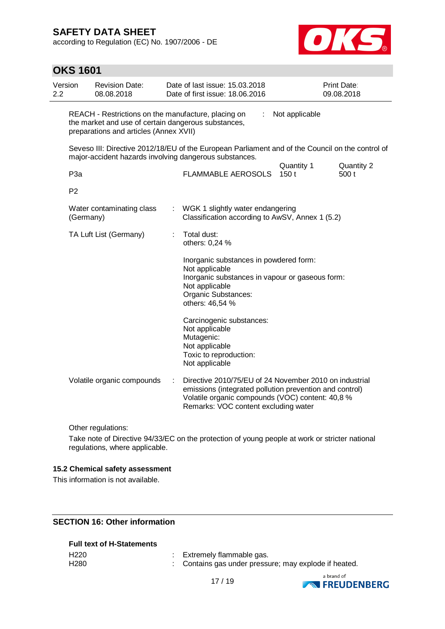**OKS 1601**

according to Regulation (EC) No. 1907/2006 - DE



#### Version 2.2 Revision Date: 08.08.2018 Date of last issue: 15.03.2018 Date of first issue: 18.06.2016 Print Date: 09.08.2018 REACH - Restrictions on the manufacture, placing on the market and use of certain dangerous substances, preparations and articles (Annex XVII) : Not applicable Seveso III: Directive 2012/18/EU of the European Parliament and of the Council on the control of major-accident hazards involving dangerous substances. Quantity 1 Quantity 2 P3a **FLAMMABLE AEROSOLS** 150 t 500 t P2 Water contaminating class (Germany) : WGK 1 slightly water endangering Classification according to AwSV, Annex 1 (5.2) TA Luft List (Germany) : Total dust: others: 0,24 % Inorganic substances in powdered form: Not applicable Inorganic substances in vapour or gaseous form: Not applicable Organic Substances: others: 46,54 % Carcinogenic substances: Not applicable Mutagenic: Not applicable Toxic to reproduction: Not applicable Volatile organic compounds : Directive 2010/75/EU of 24 November 2010 on industrial emissions (integrated pollution prevention and control) Volatile organic compounds (VOC) content: 40,8 % Remarks: VOC content excluding water

Other regulations:

Take note of Directive 94/33/EC on the protection of young people at work or stricter national regulations, where applicable.

### **15.2 Chemical safety assessment**

This information is not available.

## **SECTION 16: Other information**

### **Full text of H-Statements**

| H <sub>220</sub> | Extremely flammable gas.                              |
|------------------|-------------------------------------------------------|
| H <sub>280</sub> | : Contains gas under pressure; may explode if heated. |

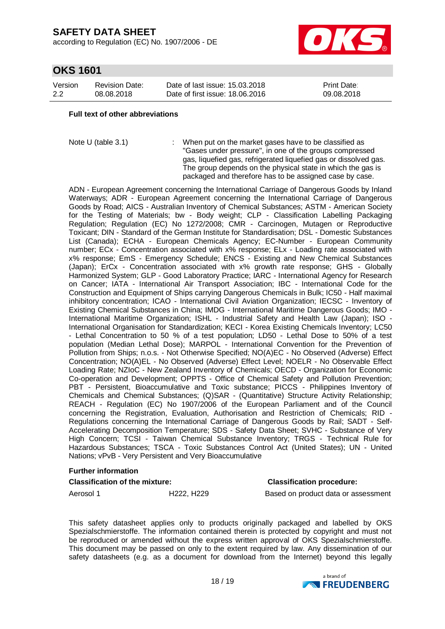according to Regulation (EC) No. 1907/2006 - DE



## **OKS 1601**

| Version | <b>Revision Date:</b> | Date of last issue: 15.03.2018  | <b>Print Date:</b> |
|---------|-----------------------|---------------------------------|--------------------|
| 2.2     | 08.08.2018            | Date of first issue: 18,06,2016 | 09.08.2018         |

#### **Full text of other abbreviations**

Note U (table 3.1) : When put on the market gases have to be classified as "Gases under pressure", in one of the groups compressed gas, liquefied gas, refrigerated liquefied gas or dissolved gas. The group depends on the physical state in which the gas is packaged and therefore has to be assigned case by case.

ADN - European Agreement concerning the International Carriage of Dangerous Goods by Inland Waterways; ADR - European Agreement concerning the International Carriage of Dangerous Goods by Road; AICS - Australian Inventory of Chemical Substances; ASTM - American Society for the Testing of Materials; bw - Body weight; CLP - Classification Labelling Packaging Regulation; Regulation (EC) No 1272/2008; CMR - Carcinogen, Mutagen or Reproductive Toxicant; DIN - Standard of the German Institute for Standardisation; DSL - Domestic Substances List (Canada); ECHA - European Chemicals Agency; EC-Number - European Community number; ECx - Concentration associated with x% response; ELx - Loading rate associated with x% response; EmS - Emergency Schedule; ENCS - Existing and New Chemical Substances (Japan); ErCx - Concentration associated with x% growth rate response; GHS - Globally Harmonized System; GLP - Good Laboratory Practice; IARC - International Agency for Research on Cancer; IATA - International Air Transport Association; IBC - International Code for the Construction and Equipment of Ships carrying Dangerous Chemicals in Bulk; IC50 - Half maximal inhibitory concentration; ICAO - International Civil Aviation Organization; IECSC - Inventory of Existing Chemical Substances in China; IMDG - International Maritime Dangerous Goods; IMO - International Maritime Organization; ISHL - Industrial Safety and Health Law (Japan); ISO - International Organisation for Standardization; KECI - Korea Existing Chemicals Inventory; LC50 - Lethal Concentration to 50 % of a test population; LD50 - Lethal Dose to 50% of a test population (Median Lethal Dose); MARPOL - International Convention for the Prevention of Pollution from Ships; n.o.s. - Not Otherwise Specified; NO(A)EC - No Observed (Adverse) Effect Concentration; NO(A)EL - No Observed (Adverse) Effect Level; NOELR - No Observable Effect Loading Rate; NZIoC - New Zealand Inventory of Chemicals; OECD - Organization for Economic Co-operation and Development; OPPTS - Office of Chemical Safety and Pollution Prevention; PBT - Persistent, Bioaccumulative and Toxic substance; PICCS - Philippines Inventory of Chemicals and Chemical Substances; (Q)SAR - (Quantitative) Structure Activity Relationship; REACH - Regulation (EC) No 1907/2006 of the European Parliament and of the Council concerning the Registration, Evaluation, Authorisation and Restriction of Chemicals; RID - Regulations concerning the International Carriage of Dangerous Goods by Rail; SADT - Self-Accelerating Decomposition Temperature; SDS - Safety Data Sheet; SVHC - Substance of Very High Concern; TCSI - Taiwan Chemical Substance Inventory; TRGS - Technical Rule for Hazardous Substances; TSCA - Toxic Substances Control Act (United States); UN - United Nations; vPvB - Very Persistent and Very Bioaccumulative

### **Further information**

### **Classification of the mixture: Classification procedure:**

Aerosol 1 **H222, H229** Based on product data or assessment

This safety datasheet applies only to products originally packaged and labelled by OKS Spezialschmierstoffe. The information contained therein is protected by copyright and must not be reproduced or amended without the express written approval of OKS Spezialschmierstoffe. This document may be passed on only to the extent required by law. Any dissemination of our safety datasheets (e.g. as a document for download from the Internet) beyond this legally